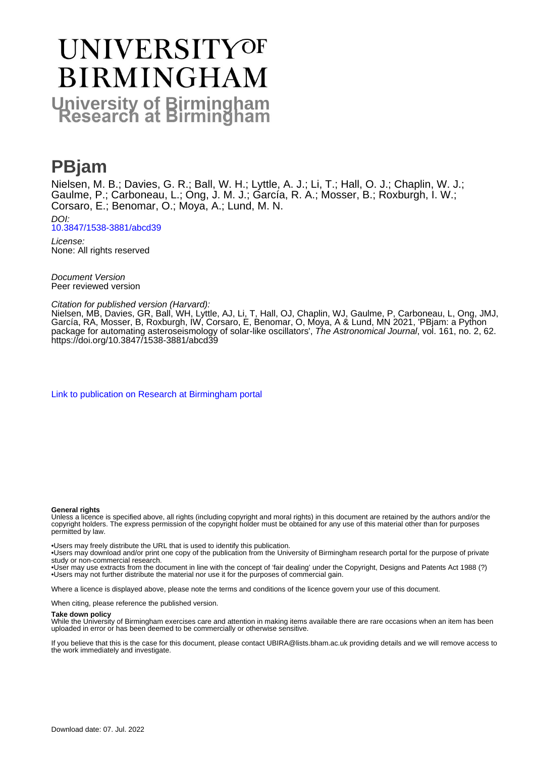# **UNIVERSITYOF BIRMINGHAM University of Birmingham**

# **PBjam**

Nielsen, M. B.; Davies, G. R.; Ball, W. H.; Lyttle, A. J.; Li, T.; Hall, O. J.; Chaplin, W. J.; Gaulme, P.; Carboneau, L.; Ong, J. M. J.; García, R. A.; Mosser, B.; Roxburgh, I. W.; Corsaro, E.; Benomar, O.; Moya, A.; Lund, M. N. DOI:

[10.3847/1538-3881/abcd39](https://doi.org/10.3847/1538-3881/abcd39)

License: None: All rights reserved

Document Version Peer reviewed version

Citation for published version (Harvard):

Nielsen, MB, Davies, GR, Ball, WH, Lyttle, AJ, Li, T, Hall, OJ, Chaplin, WJ, Gaulme, P, Carboneau, L, Ong, JMJ, García, RA, Mosser, B, Roxburgh, IW, Corsaro, E, Benomar, O, Moya, A & Lund, MN 2021, 'PBjam: a Python package for automating asteroseismology of solar-like oscillators', *The Astronomical Journal*, vol. 161, no. 2, 62. <https://doi.org/10.3847/1538-3881/abcd39>

[Link to publication on Research at Birmingham portal](https://birmingham.elsevierpure.com/en/publications/1cf8fe95-0e1f-40ef-8d62-c77ccf9d0b9b)

## **General rights**

Unless a licence is specified above, all rights (including copyright and moral rights) in this document are retained by the authors and/or the copyright holders. The express permission of the copyright holder must be obtained for any use of this material other than for purposes permitted by law.

• Users may freely distribute the URL that is used to identify this publication.

• Users may download and/or print one copy of the publication from the University of Birmingham research portal for the purpose of private study or non-commercial research.

• User may use extracts from the document in line with the concept of 'fair dealing' under the Copyright, Designs and Patents Act 1988 (?) • Users may not further distribute the material nor use it for the purposes of commercial gain.

Where a licence is displayed above, please note the terms and conditions of the licence govern your use of this document.

When citing, please reference the published version.

#### **Take down policy**

While the University of Birmingham exercises care and attention in making items available there are rare occasions when an item has been uploaded in error or has been deemed to be commercially or otherwise sensitive.

If you believe that this is the case for this document, please contact UBIRA@lists.bham.ac.uk providing details and we will remove access to the work immediately and investigate.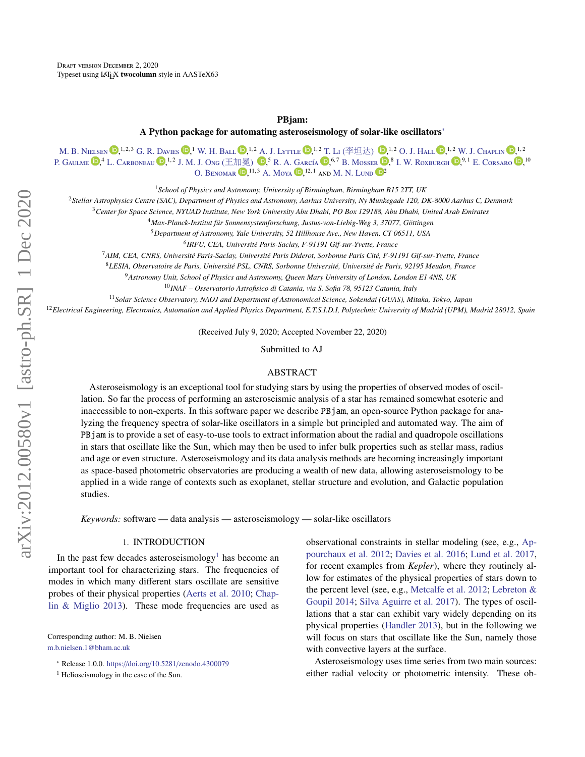#### PBjam:

A Python package for automating asteroseismology of solar-like oscillators[∗](#page-1-0)

[M. B. N](http://orcid.org/0000-0001-9169-2599)ielsen  $\mathbf{D}, ^{1,2,3}$  [G. R. D](http://orcid.org/0000-0002-4290-7351)avies  $\mathbf{D}, ^{1}$  [W. H. B](http://orcid.org/0000-0002-4773-1017)all  $\mathbf{D}, ^{1,2}$  [A. J. L](http://orcid.org/0000-0001-8355-8082)yttle  $\mathbf{D}, ^{1,2}$  [T. L](http://orcid.org/0000-0001-6396-2563)i (李坦达)  $\mathbf{D}, ^{1,2}$  [O. J. H](http://orcid.org/0000-0002-0468-4775)all  $\mathbf{D}, ^{1,2}$  [W. J. C](http://orcid.org/0000-0002-5714-8618)haplin  $\mathbf{D}, ^{1,2}$ P. G[aulme](http://orcid.org/0000-0001-8330-5464)  $\mathbb{D}, ^{4}$  L. C[arboneau](http://orcid.org/0000-0003-1001-5137)  $\mathbb{D}, ^{1,2}$  [J. M. J. O](http://orcid.org/0000-0001-7664-648X)ng (王加冕)  $\mathbb{D}, ^{5}$  [R. A. G](http://orcid.org/0000-0002-8854-3776)arcía  $\mathbb{D}, ^{6,7}$  B. M[osser](http://orcid.org/0000-0002-7547-1208)  $\mathbb{D}, ^{8}$  I. W. R[oxburgh](http://orcid.org/0000-0002-7403-2764)  $\mathbb{D}, ^{9,1}$  E. C[orsaro](http://orcid.org/0000-0001-8835-2075)  $\mathbb{D}, ^{10}$ O. BENOMAR  $\mathbb{D}$ ,<sup>11, 3</sup> [A. M](http://orcid.org/0000-0003-1665-5389)oya  $\mathbb{D}$ ,<sup>12, 1</sup> and [M. N. L](http://orcid.org/0000-0001-9214-5642)und  $\mathbb{D}^2$ 

<sup>1</sup>*School of Physics and Astronomy, University of Birmingham, Birmingham B15 2TT, UK*

<sup>2</sup>*Stellar Astrophysics Centre (SAC), Department of Physics and Astronomy, Aarhus University, Ny Munkegade 120, DK-8000 Aarhus C, Denmark*

<sup>3</sup>*Center for Space Science, NYUAD Institute, New York University Abu Dhabi, PO Box 129188, Abu Dhabi, United Arab Emirates*

<sup>4</sup> Max-Planck-Institut für Sonnensystemforschung, Justus-von-Liebig-Weg 3, 37077, Göttingen

<sup>5</sup>*Department of Astronomy, Yale University, 52 Hillhouse Ave., New Haven, CT 06511, USA*

<sup>6</sup> IRFU, CEA, Université Paris-Saclay, F-91191 Gif-sur-Yvette, France

<sup>7</sup>AIM, CEA, CNRS, Université Paris-Saclay, Université Paris Diderot, Sorbonne Paris Cité, F-91191 Gif-sur-Yvette, France

<sup>8</sup>LESIA, Observatoire de Paris, Université PSL, CNRS, Sorbonne Université, Université de Paris, 92195 Meudon, France

<sup>9</sup>*Astronomy Unit, School of Physics and Astronomy, Queen Mary University of London, London E1 4NS, UK*

<sup>10</sup>*INAF – Osservatorio Astrofisico di Catania, via S. Sofia 78, 95123 Catania, Italy*

<sup>11</sup>*Solar Science Observatory, NAOJ and Department of Astronomical Science, Sokendai (GUAS), Mitaka, Tokyo, Japan*

<sup>12</sup>*Electrical Engineering, Electronics, Automation and Applied Physics Department, E.T.S.I.D.I, Polytechnic University of Madrid (UPM), Madrid 28012, Spain*

(Received July 9, 2020; Accepted November 22, 2020)

Submitted to AJ

# ABSTRACT

Asteroseismology is an exceptional tool for studying stars by using the properties of observed modes of oscillation. So far the process of performing an asteroseismic analysis of a star has remained somewhat esoteric and inaccessible to non-experts. In this software paper we describe PBjam, an open-source Python package for analyzing the frequency spectra of solar-like oscillators in a simple but principled and automated way. The aim of PBjam is to provide a set of easy-to-use tools to extract information about the radial and quadropole oscillations in stars that oscillate like the Sun, which may then be used to infer bulk properties such as stellar mass, radius and age or even structure. Asteroseismology and its data analysis methods are becoming increasingly important as space-based photometric observatories are producing a wealth of new data, allowing asteroseismology to be applied in a wide range of contexts such as exoplanet, stellar structure and evolution, and Galactic population studies.

*Keywords:* software — data analysis — asteroseismology — solar-like oscillators

# 1. INTRODUCTION

In the past few decades asteroseismology<sup>[1](#page-1-1)</sup> has become an important tool for characterizing stars. The frequencies of modes in which many different stars oscillate are sensitive probes of their physical properties [\(Aerts et al.](#page-10-0) [2010;](#page-10-0) [Chap](#page-11-0)[lin & Miglio](#page-11-0) [2013\)](#page-11-0). These mode frequencies are used as

Corresponding author: M. B. Nielsen [m.b.nielsen.1@bham.ac.uk](mailto: m.b.nielsen.1@bham.ac.uk)

<span id="page-1-0"></span><sup>∗</sup> Release 1.0.0. https://doi.org/10.5281/[zenodo.4300079](https://doi.org/10.5281/zenodo.4300079)

<span id="page-1-1"></span> $<sup>1</sup>$  Helioseismology in the case of the Sun.</sup>

observational constraints in stellar modeling (see, e.g., [Ap](#page-10-1)[pourchaux et al.](#page-10-1) [2012;](#page-10-1) [Davies et al.](#page-11-1) [2016;](#page-11-1) [Lund et al.](#page-11-2) [2017,](#page-11-2) for recent examples from *Kepler*), where they routinely allow for estimates of the physical properties of stars down to the percent level (see, e.g., [Metcalfe et al.](#page-11-3) [2012;](#page-11-3) [Lebreton &](#page-11-4) [Goupil](#page-11-4) [2014;](#page-11-4) [Silva Aguirre et al.](#page-12-0) [2017\)](#page-12-0). The types of oscillations that a star can exhibit vary widely depending on its physical properties [\(Handler](#page-11-5) [2013\)](#page-11-5), but in the following we will focus on stars that oscillate like the Sun, namely those with convective layers at the surface.

Asteroseismology uses time series from two main sources: either radial velocity or photometric intensity. These ob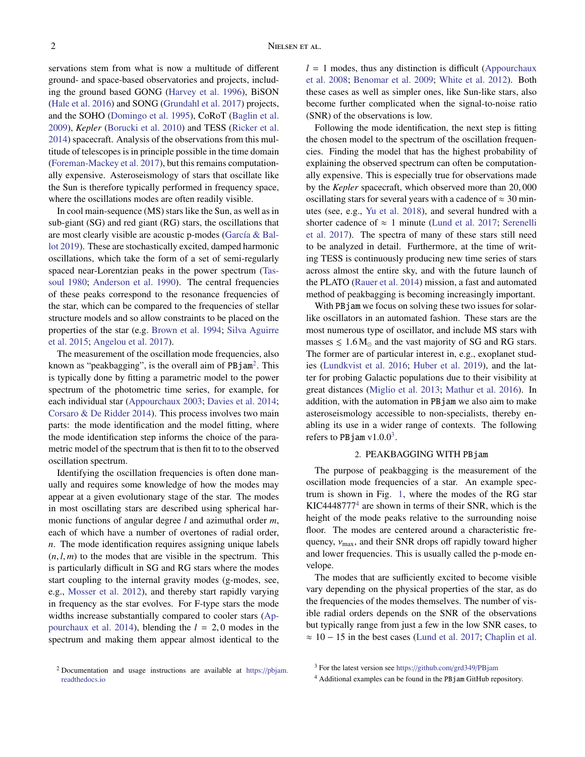servations stem from what is now a multitude of different ground- and space-based observatories and projects, including the ground based GONG [\(Harvey et al.](#page-11-6) [1996\)](#page-11-6), BiSON [\(Hale et al.](#page-11-7) [2016\)](#page-11-7) and SONG [\(Grundahl et al.](#page-11-8) [2017\)](#page-11-8) projects, and the SOHO [\(Domingo et al.](#page-11-9) [1995\)](#page-11-9), CoRoT [\(Baglin et al.](#page-10-2) [2009\)](#page-10-2), *Kepler* [\(Borucki et al.](#page-11-10) [2010\)](#page-11-10) and TESS [\(Ricker et al.](#page-12-1) [2014\)](#page-12-1) spacecraft. Analysis of the observations from this multitude of telescopes is in principle possible in the time domain [\(Foreman-Mackey et al.](#page-11-11) [2017\)](#page-11-11), but this remains computationally expensive. Asteroseismology of stars that oscillate like the Sun is therefore typically performed in frequency space, where the oscillations modes are often readily visible.

In cool main-sequence (MS) stars like the Sun, as well as in sub-giant (SG) and red giant (RG) stars, the oscillations that are most clearly visible are acoustic p-modes (García & Bal[lot](#page-11-12) [2019\)](#page-11-12). These are stochastically excited, damped harmonic oscillations, which take the form of a set of semi-regularly spaced near-Lorentzian peaks in the power spectrum [\(Tas](#page-12-2)[soul](#page-12-2) [1980;](#page-12-2) [Anderson et al.](#page-10-3) [1990\)](#page-10-3). The central frequencies of these peaks correspond to the resonance frequencies of the star, which can be compared to the frequencies of stellar structure models and so allow constraints to be placed on the properties of the star (e.g. [Brown et al.](#page-11-13) [1994;](#page-11-13) [Silva Aguirre](#page-12-3) [et al.](#page-12-3) [2015;](#page-12-3) [Angelou et al.](#page-10-4) [2017\)](#page-10-4).

The measurement of the oscillation mode frequencies, also known as "peakbagging", is the overall aim of PBjam<sup>[2](#page-2-0)</sup>. This is typically done by fitting a parametric model to the power spectrum of the photometric time series, for example, for each individual star [\(Appourchaux](#page-10-5) [2003;](#page-10-5) [Davies et al.](#page-11-14) [2014;](#page-11-14) [Corsaro & De Ridder](#page-11-15) [2014\)](#page-11-15). This process involves two main parts: the mode identification and the model fitting, where the mode identification step informs the choice of the parametric model of the spectrum that is then fit to to the observed oscillation spectrum.

Identifying the oscillation frequencies is often done manually and requires some knowledge of how the modes may appear at a given evolutionary stage of the star. The modes in most oscillating stars are described using spherical harmonic functions of angular degree *l* and azimuthal order *m*, each of which have a number of overtones of radial order, *n*. The mode identification requires assigning unique labels  $(n, l, m)$  to the modes that are visible in the spectrum. This is particularly difficult in SG and RG stars where the modes start coupling to the internal gravity modes (g-modes, see, e.g., [Mosser et al.](#page-11-16) [2012\)](#page-11-16), and thereby start rapidly varying in frequency as the star evolves. For F-type stars the mode widths increase substantially compared to cooler stars [\(Ap](#page-10-6)[pourchaux et al.](#page-10-6) [2014\)](#page-10-6), blending the  $l = 2,0$  modes in the spectrum and making them appear almost identical to the  $l = 1$  modes, thus any distinction is difficult [\(Appourchaux](#page-10-7) [et al.](#page-10-7) [2008;](#page-10-7) [Benomar et al.](#page-11-17) [2009;](#page-11-17) [White et al.](#page-12-4) [2012\)](#page-12-4). Both these cases as well as simpler ones, like Sun-like stars, also become further complicated when the signal-to-noise ratio (SNR) of the observations is low.

Following the mode identification, the next step is fitting the chosen model to the spectrum of the oscillation frequencies. Finding the model that has the highest probability of explaining the observed spectrum can often be computationally expensive. This is especially true for observations made by the *Kepler* spacecraft, which observed more than 20, <sup>000</sup> oscillating stars for several years with a cadence of  $\approx 30$  minutes (see, e.g., [Yu et al.](#page-12-5) [2018\)](#page-12-5), and several hundred with a shorter cadence of  $\approx$  1 minute [\(Lund et al.](#page-11-2) [2017;](#page-11-2) [Serenelli](#page-12-6) [et al.](#page-12-6) [2017\)](#page-12-6). The spectra of many of these stars still need to be analyzed in detail. Furthermore, at the time of writing TESS is continuously producing new time series of stars across almost the entire sky, and with the future launch of the PLATO [\(Rauer et al.](#page-12-7) [2014\)](#page-12-7) mission, a fast and automated method of peakbagging is becoming increasingly important.

With PB jam we focus on solving these two issues for solarlike oscillators in an automated fashion. These stars are the most numerous type of oscillator, and include MS stars with masses  $\leq 1.6 M_{\odot}$  and the vast majority of SG and RG stars. The former are of particular interest in, e.g., exoplanet studies [\(Lundkvist et al.](#page-11-18) [2016;](#page-11-18) [Huber et al.](#page-11-19) [2019\)](#page-11-19), and the latter for probing Galactic populations due to their visibility at great distances [\(Miglio et al.](#page-11-20) [2013;](#page-11-20) [Mathur et al.](#page-11-21) [2016\)](#page-11-21). In addition, with the automation in PBjam we also aim to make asteroseismology accessible to non-specialists, thereby enabling its use in a wider range of contexts. The following refers to PB jam  $v1.0.0<sup>3</sup>$  $v1.0.0<sup>3</sup>$  $v1.0.0<sup>3</sup>$ .

# 2. PEAKBAGGING WITH PBjam

The purpose of peakbagging is the measurement of the oscillation mode frequencies of a star. An example spectrum is shown in Fig. [1,](#page-3-0) where the modes of the RG star KIC4448777[4](#page-2-2) are shown in terms of their SNR, which is the height of the mode peaks relative to the surrounding noise floor. The modes are centered around a characteristic frequency,  $v_{\text{max}}$ , and their SNR drops off rapidly toward higher and lower frequencies. This is usually called the p-mode envelope.

The modes that are sufficiently excited to become visible vary depending on the physical properties of the star, as do the frequencies of the modes themselves. The number of visible radial orders depends on the SNR of the observations but typically range from just a few in the low SNR cases, to  $\approx 10 - 15$  in the best cases [\(Lund et al.](#page-11-2) [2017;](#page-11-2) [Chaplin et al.](#page-11-22)

<span id="page-2-0"></span> $2$  Documentation and usage instructions are available at https://[pbjam.](https://pbjam.readthedocs.io) [readthedocs.io](https://pbjam.readthedocs.io)

<span id="page-2-1"></span><sup>3</sup> For the latest version see https://[github.com](https://github.com/grd349/PBjam)/grd349/PBjam

<span id="page-2-2"></span><sup>4</sup> Additional examples can be found in the PBjam GitHub repository.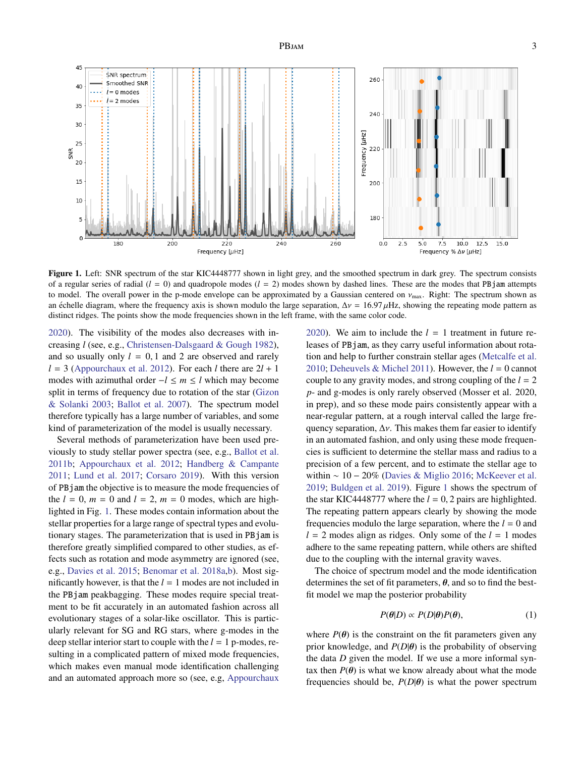PBJAM 3



<span id="page-3-0"></span>Figure 1. Left: SNR spectrum of the star KIC4448777 shown in light grey, and the smoothed spectrum in dark grey. The spectrum consists of a regular series of radial  $(l = 0)$  and quadropole modes  $(l = 2)$  modes shown by dashed lines. These are the modes that PB jam attempts to model. The overall power in the p-mode envelope can be approximated by a Gaussian centered on  $v_{\text{max}}$ . Right: The spectrum shown as an échelle diagram, where the frequency axis is shown modulo the large separation,  $\Delta v = 16.97 \,\mu$ Hz, showing the repeating mode pattern as distinct ridges. The points show the mode frequencies shown in the left frame, with the same color code.

[2020\)](#page-11-22). The visibility of the modes also decreases with increasing *l* (see, e.g., [Christensen-Dalsgaard & Gough](#page-11-23) [1982\)](#page-11-23), and so usually only  $l = 0, 1$  and 2 are observed and rarely  $l = 3$  [\(Appourchaux et al.](#page-10-1) [2012\)](#page-10-1). For each *l* there are  $2l + 1$ modes with azimuthal order −*l* ≤ *m* ≤ *l* which may become split in terms of frequency due to rotation of the star [\(Gizon](#page-11-24) [& Solanki](#page-11-24) [2003;](#page-11-24) [Ballot et al.](#page-10-8) [2007\)](#page-10-8). The spectrum model therefore typically has a large number of variables, and some kind of parameterization of the model is usually necessary.

Several methods of parameterization have been used previously to study stellar power spectra (see, e.g., [Ballot et al.](#page-10-9) [2011b;](#page-10-9) [Appourchaux et al.](#page-10-1) [2012;](#page-10-1) [Handberg & Campante](#page-11-25) [2011;](#page-11-25) [Lund et al.](#page-11-2) [2017;](#page-11-2) [Corsaro](#page-11-26) [2019\)](#page-11-26). With this version of PBjam the objective is to measure the mode frequencies of the  $l = 0$ ,  $m = 0$  and  $l = 2$ ,  $m = 0$  modes, which are highlighted in Fig. [1.](#page-3-0) These modes contain information about the stellar properties for a large range of spectral types and evolutionary stages. The parameterization that is used in PBjam is therefore greatly simplified compared to other studies, as effects such as rotation and mode asymmetry are ignored (see, e.g., [Davies et al.](#page-11-27) [2015;](#page-11-27) [Benomar et al.](#page-11-28) [2018a](#page-11-28)[,b\)](#page-11-29). Most significantly however, is that the  $l = 1$  modes are not included in the PBjam peakbagging. These modes require special treatment to be fit accurately in an automated fashion across all evolutionary stages of a solar-like oscillator. This is particularly relevant for SG and RG stars, where g-modes in the deep stellar interior start to couple with the  $l = 1$  p-modes, resulting in a complicated pattern of mixed mode frequencies, which makes even manual mode identification challenging and an automated approach more so (see, e.g, [Appourchaux](#page-10-10)

[2020\)](#page-10-10). We aim to include the  $l = 1$  treatment in future releases of PBjam, as they carry useful information about rotation and help to further constrain stellar ages [\(Metcalfe et al.](#page-11-30) [2010;](#page-11-30) [Deheuvels & Michel](#page-11-31) [2011\)](#page-11-31). However, the *l* = 0 cannot couple to any gravity modes, and strong coupling of the *l* = 2 *p*- and g-modes is only rarely observed (Mosser et al. 2020, in prep), and so these mode pairs consistently appear with a near-regular pattern, at a rough interval called the large frequency separation,  $\Delta v$ . This makes them far easier to identify in an automated fashion, and only using these mode frequencies is sufficient to determine the stellar mass and radius to a precision of a few percent, and to estimate the stellar age to within ∼ 10 − 20% [\(Davies & Miglio](#page-11-32) [2016;](#page-11-32) [McKeever et al.](#page-11-33) [2019;](#page-11-33) [Buldgen et al.](#page-11-34) [2019\)](#page-11-34). Figure [1](#page-3-0) shows the spectrum of the star KIC4448777 where the  $l = 0, 2$  pairs are highlighted. The repeating pattern appears clearly by showing the mode frequencies modulo the large separation, where the  $l = 0$  and  $l = 2$  modes align as ridges. Only some of the  $l = 1$  modes adhere to the same repeating pattern, while others are shifted due to the coupling with the internal gravity waves.

The choice of spectrum model and the mode identification determines the set of fit parameters,  $\theta$ , and so to find the bestfit model we map the posterior probability

<span id="page-3-1"></span>
$$
P(\theta|D) \propto P(D|\theta)P(\theta),\tag{1}
$$

where  $P(\theta)$  is the constraint on the fit parameters given any prior knowledge, and  $P(D|\theta)$  is the probability of observing the data *D* given the model. If we use a more informal syntax then  $P(\theta)$  is what we know already about what the mode frequencies should be,  $P(D|\theta)$  is what the power spectrum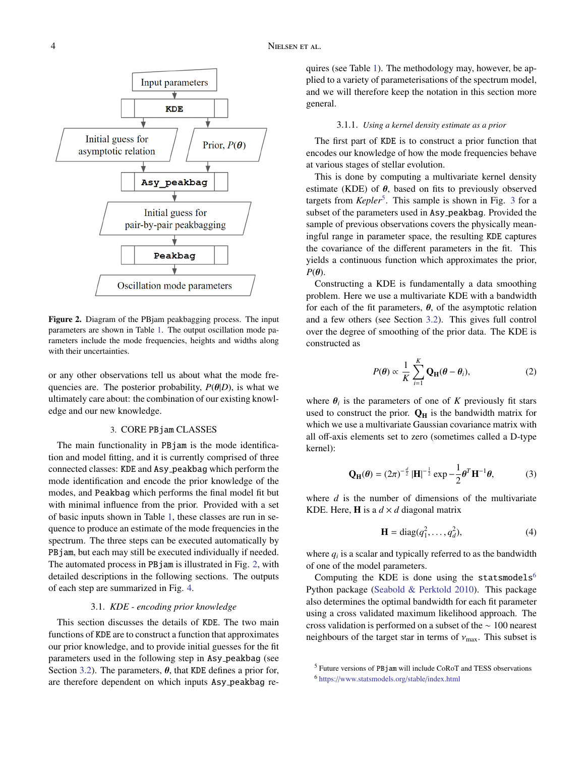

<span id="page-4-0"></span>Figure 2. Diagram of the PBjam peakbagging process. The input parameters are shown in Table [1.](#page-8-0) The output oscillation mode parameters include the mode frequencies, heights and widths along with their uncertainties.

or any other observations tell us about what the mode frequencies are. The posterior probability,  $P(\theta|D)$ , is what we ultimately care about: the combination of our existing knowledge and our new knowledge.

# 3. CORE PBjam CLASSES

The main functionality in PBjam is the mode identification and model fitting, and it is currently comprised of three connected classes: KDE and Asy peakbag which perform the mode identification and encode the prior knowledge of the modes, and Peakbag which performs the final model fit but with minimal influence from the prior. Provided with a set of basic inputs shown in Table [1,](#page-8-0) these classes are run in sequence to produce an estimate of the mode frequencies in the spectrum. The three steps can be executed automatically by PBjam, but each may still be executed individually if needed. The automated process in PBjam is illustrated in Fig. [2,](#page-4-0) with detailed descriptions in the following sections. The outputs of each step are summarized in Fig. [4.](#page-6-0)

# 3.1. *KDE - encoding prior knowledge*

This section discusses the details of KDE. The two main functions of KDE are to construct a function that approximates our prior knowledge, and to provide initial guesses for the fit parameters used in the following step in Asy peakbag (see Section [3.2\)](#page-6-1). The parameters,  $\theta$ , that KDE defines a prior for, are therefore dependent on which inputs Asy peakbag requires (see Table [1\)](#page-8-0). The methodology may, however, be applied to a variety of parameterisations of the spectrum model, and we will therefore keep the notation in this section more general.

### 3.1.1. *Using a kernel density estimate as a prior*

The first part of KDE is to construct a prior function that encodes our knowledge of how the mode frequencies behave at various stages of stellar evolution.

This is done by computing a multivariate kernel density estimate (KDE) of  $\theta$ , based on fits to previously observed targets from *Kepler*<sup>5</sup>. This sample is shown in Fig. [3](#page-5-0) for a subset of the parameters used in Asy peakbag. Provided the sample of previous observations covers the physically meaningful range in parameter space, the resulting KDE captures the covariance of the different parameters in the fit. This yields a continuous function which approximates the prior,  $P(\theta)$ .

Constructing a KDE is fundamentally a data smoothing problem. Here we use a multivariate KDE with a bandwidth for each of the fit parameters,  $\theta$ , of the asymptotic relation and a few others (see Section [3.2\)](#page-6-1). This gives full control over the degree of smoothing of the prior data. The KDE is constructed as

<span id="page-4-3"></span>
$$
P(\theta) \propto \frac{1}{K} \sum_{i=1}^{K} \mathbf{Q}_{\mathbf{H}}(\theta - \theta_i), \tag{2}
$$

where  $\theta_i$  is the parameters of one of *K* previously fit stars<br>used to construct the prior  $\Omega$  is the bandwidth matrix for used to construct the prior.  $Q_H$  is the bandwidth matrix for which we use a multivariate Gaussian covariance matrix with all off-axis elements set to zero (sometimes called a D-type kernel):

$$
\mathbf{Q}_{\mathbf{H}}(\boldsymbol{\theta}) = (2\pi)^{-\frac{d}{2}} |\mathbf{H}|^{-\frac{1}{2}} \exp{-\frac{1}{2}\boldsymbol{\theta}^{T} \mathbf{H}^{-1} \boldsymbol{\theta}},
$$
 (3)

where *d* is the number of dimensions of the multivariate KDE. Here, **H** is a  $d \times d$  diagonal matrix

$$
\mathbf{H} = \text{diag}(q_1^2, \dots, q_d^2),\tag{4}
$$

where  $q_i$  is a scalar and typically referred to as the bandwidth of one of the model parameters.

Computing the KDE is done using the statsmodels<sup>[6](#page-4-2)</sup> Python package [\(Seabold & Perktold](#page-12-8) [2010\)](#page-12-8). This package also determines the optimal bandwidth for each fit parameter using a cross validated maximum likelihood approach. The cross validation is performed on a subset of the ∼ 100 nearest neighbours of the target star in terms of  $v_{\text{max}}$ . This subset is

<span id="page-4-1"></span><sup>5</sup> Future versions of PBjam will include CoRoT and TESS observations

<span id="page-4-2"></span><sup>6</sup> https://[www.statsmodels.org](https://www.statsmodels.org/stable/index.html)/stable/index.html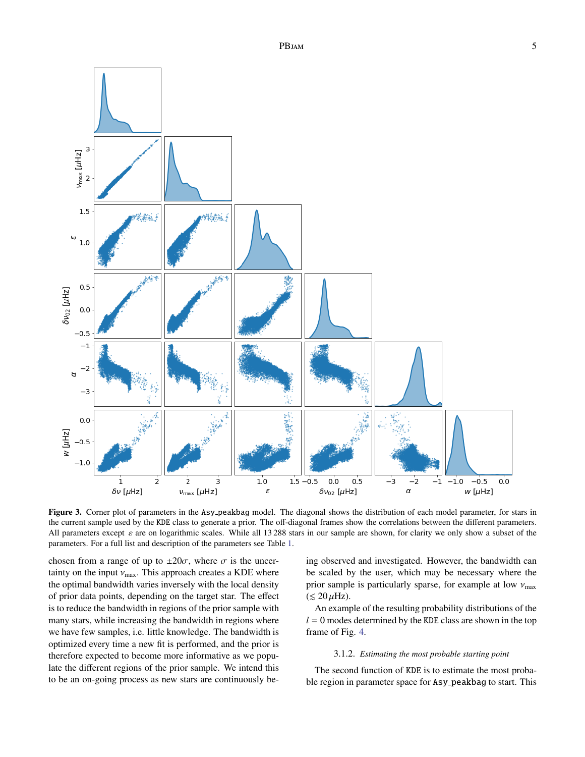

<span id="page-5-0"></span>Figure 3. Corner plot of parameters in the Asy peakbag model. The diagonal shows the distribution of each model parameter, for stars in the current sample used by the KDE class to generate a prior. The off-diagonal frames show the correlations between the different parameters. All parameters except  $\varepsilon$  are on logarithmic scales. While all 13 288 stars in our sample are shown, for clarity we only show a subset of the parameters. For a full list and description of the parameters see Table [1.](#page-8-0)

chosen from a range of up to  $\pm 20\sigma$ , where  $\sigma$  is the uncertainty on the input  $v_{\text{max}}$ . This approach creates a KDE where the optimal bandwidth varies inversely with the local density of prior data points, depending on the target star. The effect is to reduce the bandwidth in regions of the prior sample with many stars, while increasing the bandwidth in regions where we have few samples, i.e. little knowledge. The bandwidth is optimized every time a new fit is performed, and the prior is therefore expected to become more informative as we populate the different regions of the prior sample. We intend this to be an on-going process as new stars are continuously being observed and investigated. However, the bandwidth can be scaled by the user, which may be necessary where the prior sample is particularly sparse, for example at low  $v_{\text{max}}$  $(< 20 \mu$ Hz).

An example of the resulting probability distributions of the  $l = 0$  modes determined by the KDE class are shown in the top frame of Fig. [4.](#page-6-0)

#### 3.1.2. *Estimating the most probable starting point*

The second function of KDE is to estimate the most probable region in parameter space for Asy peakbag to start. This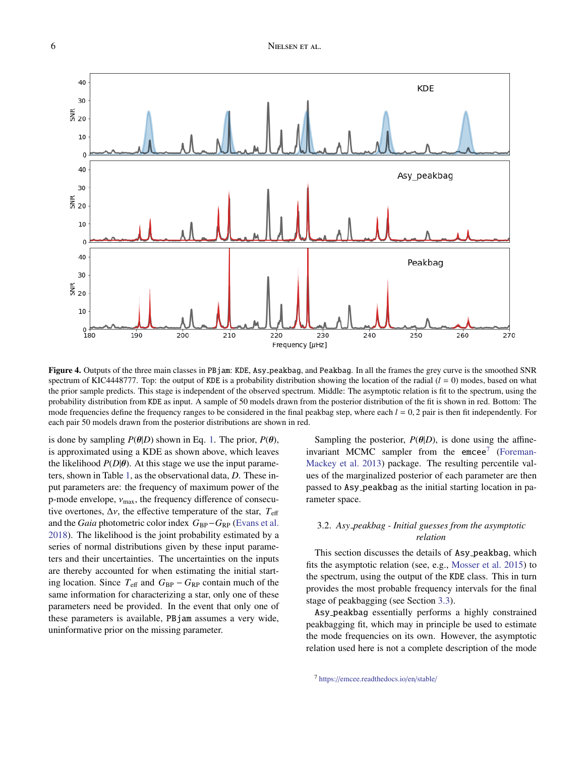

<span id="page-6-0"></span>Figure 4. Outputs of the three main classes in PBjam: KDE, Asy peakbag, and Peakbag. In all the frames the grey curve is the smoothed SNR spectrum of KIC4448777. Top: the output of KDE is a probability distribution showing the location of the radial  $(l = 0)$  modes, based on what the prior sample predicts. This stage is independent of the observed spectrum. Middle: The asymptotic relation is fit to the spectrum, using the probability distribution from KDE as input. A sample of 50 models drawn from the posterior distribution of the fit is shown in red. Bottom: The mode frequencies define the frequency ranges to be considered in the final peakbag step, where each  $l = 0, 2$  pair is then fit independently. For each pair 50 models drawn from the posterior distributions are shown in red.

is done by sampling  $P(\theta|D)$  shown in Eq. [1.](#page-3-1) The prior,  $P(\theta)$ , is approximated using a KDE as shown above, which leaves the likelihood  $P(D|\theta)$ . At this stage we use the input parameters, shown in Table [1,](#page-8-0) as the observational data, *D*. These input parameters are: the frequency of maximum power of the p-mode envelope,  $v_{\text{max}}$ , the frequency difference of consecutive overtones,  $\Delta v$ , the effective temperature of the star,  $T_{\text{eff}}$ and the *Gaia* photometric color index  $G_{BP}$ − $G_{RP}$  [\(Evans et al.](#page-11-35) [2018\)](#page-11-35). The likelihood is the joint probability estimated by a series of normal distributions given by these input parameters and their uncertainties. The uncertainties on the inputs are thereby accounted for when estimating the initial starting location. Since  $T_{\text{eff}}$  and  $G_{\text{BP}} - G_{\text{RP}}$  contain much of the same information for characterizing a star, only one of these parameters need be provided. In the event that only one of these parameters is available, PBjam assumes a very wide, uninformative prior on the missing parameter.

Sampling the posterior,  $P(\theta|D)$ , is done using the affineinvariant MCMC sampler from the  $emce<sup>7</sup>$  $emce<sup>7</sup>$  $emce<sup>7</sup>$  [\(Foreman-](#page-11-36)[Mackey et al.](#page-11-36) [2013\)](#page-11-36) package. The resulting percentile values of the marginalized posterior of each parameter are then passed to Asy peakbag as the initial starting location in parameter space.

# <span id="page-6-1"></span>3.2. *Asy peakbag - Initial guesses from the asymptotic relation*

This section discusses the details of Asy peakbag, which fits the asymptotic relation (see, e.g., [Mosser et al.](#page-11-37) [2015\)](#page-11-37) to the spectrum, using the output of the KDE class. This in turn provides the most probable frequency intervals for the final stage of peakbagging (see Section [3.3\)](#page-8-1).

Asy peakbag essentially performs a highly constrained peakbagging fit, which may in principle be used to estimate the mode frequencies on its own. However, the asymptotic relation used here is not a complete description of the mode

<span id="page-6-2"></span><sup>7</sup> https://[emcee.readthedocs.io](https://emcee.readthedocs.io/en/stable/)/en/stable/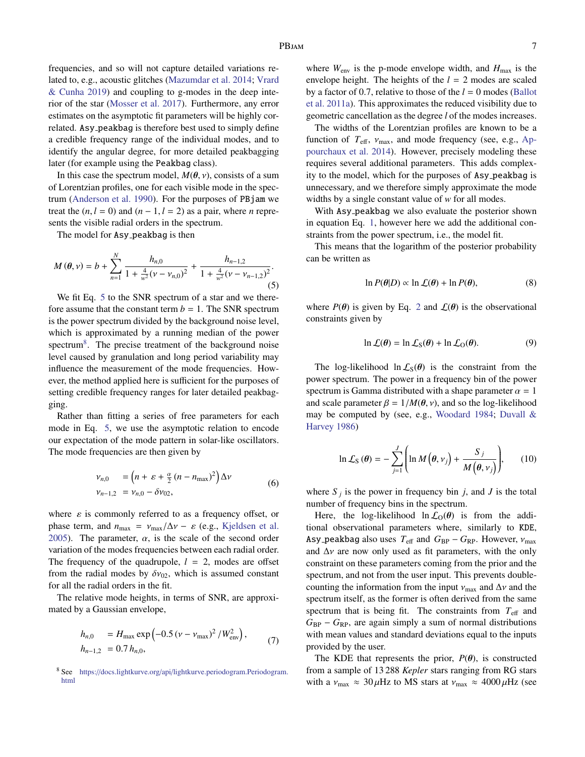frequencies, and so will not capture detailed variations related to, e.g., acoustic glitches [\(Mazumdar et al.](#page-11-38) [2014;](#page-11-38) [Vrard](#page-12-9) [& Cunha](#page-12-9) [2019\)](#page-12-9) and coupling to g-modes in the deep interior of the star [\(Mosser et al.](#page-11-39) [2017\)](#page-11-39). Furthermore, any error estimates on the asymptotic fit parameters will be highly correlated. Asy peakbag is therefore best used to simply define a credible frequency range of the individual modes, and to identify the angular degree, for more detailed peakbagging later (for example using the Peakbag class).

In this case the spectrum model,  $M(\theta, v)$ , consists of a sum of Lorentzian profiles, one for each visible mode in the spectrum [\(Anderson et al.](#page-10-3) [1990\)](#page-10-3). For the purposes of PBjam we treat the  $(n, l = 0)$  and  $(n - 1, l = 2)$  as a pair, where *n* represents the visible radial orders in the spectrum.

The model for Asy\_peakbag is then

$$
M(\theta,\nu) = b + \sum_{n=1}^{N} \frac{h_{n,0}}{1 + \frac{4}{w^2}(\nu - \nu_{n,0})^2} + \frac{h_{n-1,2}}{1 + \frac{4}{w^2}(\nu - \nu_{n-1,2})^2}.
$$
\n(5)

We fit Eq. [5](#page-7-0) to the SNR spectrum of a star and we therefore assume that the constant term  $b = 1$ . The SNR spectrum is the power spectrum divided by the background noise level, which is approximated by a running median of the power spectrum<sup>[8](#page-7-1)</sup>. The precise treatment of the background noise level caused by granulation and long period variability may influence the measurement of the mode frequencies. However, the method applied here is sufficient for the purposes of setting credible frequency ranges for later detailed peakbagging.

Rather than fitting a series of free parameters for each mode in Eq. [5,](#page-7-0) we use the asymptotic relation to encode our expectation of the mode pattern in solar-like oscillators. The mode frequencies are then given by

<span id="page-7-2"></span>
$$
\begin{aligned} \nu_{n,0} &= \left(n + \varepsilon + \frac{\alpha}{2} \left(n - n_{\text{max}}\right)^2\right) \Delta \nu \\ \nu_{n-1,2} &= \nu_{n,0} - \delta \nu_{02}, \end{aligned} \tag{6}
$$

where  $\varepsilon$  is commonly referred to as a frequency offset, or phase term, and  $n_{\text{max}} = v_{\text{max}}/\Delta v - \varepsilon$  (e.g., [Kjeldsen et al.](#page-11-40) [2005\)](#page-11-40). The parameter,  $\alpha$ , is the scale of the second order variation of the modes frequencies between each radial order. The frequency of the quadrupole,  $l = 2$ , modes are offset from the radial modes by  $\delta v_{02}$ , which is assumed constant for all the radial orders in the fit.

The relative mode heights, in terms of SNR, are approximated by a Gaussian envelope,

$$
h_{n,0} = H_{\text{max}} \exp\left(-0.5\left(\nu - \nu_{\text{max}}\right)^2 / W_{\text{env}}^2\right),
$$
  
\n
$$
h_{n-1,2} = 0.7 h_{n,0},
$$
\n(7)

where  $W_{\text{env}}$  is the p-mode envelope width, and  $H_{\text{max}}$  is the envelope height. The heights of the  $l = 2$  modes are scaled by a factor of 0.7, relative to those of the *l* = 0 modes [\(Ballot](#page-10-11) [et al.](#page-10-11) [2011a\)](#page-10-11). This approximates the reduced visibility due to geometric cancellation as the degree *l* of the modes increases.

The widths of the Lorentzian profiles are known to be a function of  $T_{\text{eff}}$ ,  $v_{\text{max}}$ , and mode frequency (see, e.g., [Ap](#page-10-6)[pourchaux et al.](#page-10-6) [2014\)](#page-10-6). However, precisely modeling these requires several additional parameters. This adds complexity to the model, which for the purposes of Asy peakbag is unnecessary, and we therefore simply approximate the mode widths by a single constant value of *w* for all modes.

<span id="page-7-0"></span>With Asy peakbag we also evaluate the posterior shown in equation Eq. [1,](#page-3-1) however here we add the additional constraints from the power spectrum, i.e., the model fit.

This means that the logarithm of the posterior probability can be written as

$$
\ln P(\theta|D) \propto \ln \mathcal{L}(\theta) + \ln P(\theta),\tag{8}
$$

where  $P(\theta)$  is given by Eq. [2](#page-4-3) and  $\mathcal{L}(\theta)$  is the observational constraints given by

$$
\ln \mathcal{L}(\theta) = \ln \mathcal{L}_S(\theta) + \ln \mathcal{L}_O(\theta). \tag{9}
$$

The log-likelihood  $\ln \mathcal{L}_S(\theta)$  is the constraint from the power spectrum. The power in a frequency bin of the power spectrum is Gamma distributed with a shape parameter  $\alpha = 1$ and scale parameter  $\beta = 1/M(\theta, v)$ , and so the log-likelihood may be computed by (see, e.g., [Woodard](#page-12-10) [1984;](#page-12-10) [Duvall &](#page-11-41) [Harvey](#page-11-41) [1986\)](#page-11-41)

$$
\ln \mathcal{L}_{\rm S}(\theta) = -\sum_{j=1}^{J} \left( \ln M\left(\theta, \nu_j\right) + \frac{S_j}{M\left(\theta, \nu_j\right)} \right), \qquad (10)
$$

where  $S_j$  is the power in frequency bin *j*, and *J* is the total number of frequency bins in the spectrum.

Here, the log-likelihood  $\ln \mathcal{L}_{O}(\theta)$  is from the additional observational parameters where, similarly to KDE, Asy peakbag also uses  $T_{\text{eff}}$  and  $G_{\text{BP}} - G_{\text{RP}}$ . However,  $v_{\text{max}}$ and  $\Delta v$  are now only used as fit parameters, with the only constraint on these parameters coming from the prior and the spectrum, and not from the user input. This prevents doublecounting the information from the input  $v_{\text{max}}$  and  $\Delta v$  and the spectrum itself, as the former is often derived from the same spectrum that is being fit. The constraints from  $T_{\text{eff}}$  and  $G_{BP} - G_{RP}$ , are again simply a sum of normal distributions with mean values and standard deviations equal to the inputs provided by the user.

The KDE that represents the prior,  $P(\theta)$ , is constructed from a sample of 13 288 *Kepler* stars ranging from RG stars with a  $v_{\text{max}} \approx 30 \,\mu\text{Hz}$  to MS stars at  $v_{\text{max}} \approx 4000 \,\mu\text{Hz}$  (see

<span id="page-7-1"></span><sup>8</sup> See https://docs.lightkurve.org/api/[lightkurve.periodogram.Periodogram.](https://docs.lightkurve.org/api/lightkurve.periodogram.Periodogram.html) [html](https://docs.lightkurve.org/api/lightkurve.periodogram.Periodogram.html)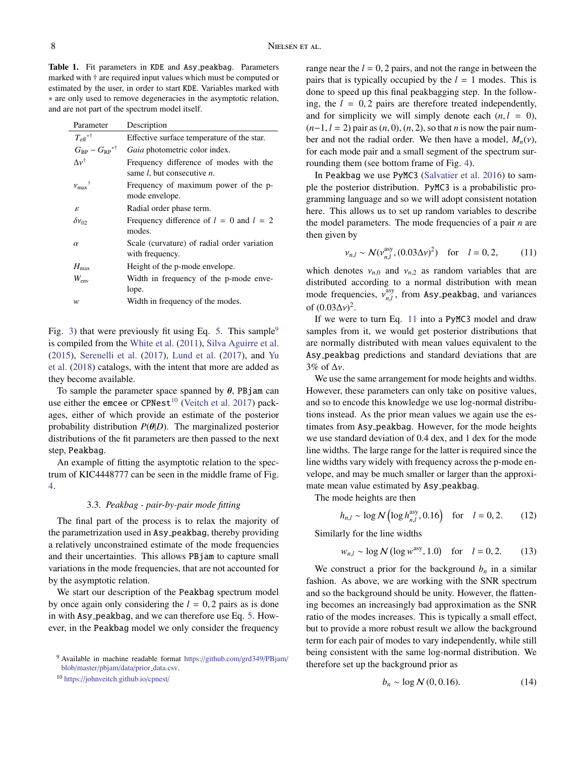<span id="page-8-0"></span>Table 1. Fit parameters in KDE and Asy peakbag. Parameters marked with † are required input values which must be computed or estimated by the user, in order to start KDE. Variables marked with ∗ are only used to remove degeneracies in the asymptotic relation, and are not part of the spectrum model itself.

| Description                                                                          |
|--------------------------------------------------------------------------------------|
| Effective surface temperature of the star.                                           |
| Gaia photometric color index.                                                        |
| Frequency difference of modes with the<br>same <i>l</i> , but consecutive <i>n</i> . |
| Frequency of maximum power of the p-<br>mode envelope.                               |
| Radial order phase term.                                                             |
| Frequency difference of $l = 0$ and $l = 2$<br>modes.                                |
| Scale (curvature) of radial order variation<br>with frequency.                       |
| Height of the p-mode envelope.                                                       |
| Width in frequency of the p-mode enve-<br>lope.                                      |
| Width in frequency of the modes.                                                     |
|                                                                                      |

Fig. [3\)](#page-5-0) that were previously fit using Eq. [5.](#page-7-0) This sample<sup>[9](#page-8-2)</sup> is compiled from the [White et al.](#page-12-11) [\(2011\)](#page-12-11), [Silva Aguirre et al.](#page-12-3) [\(2015\)](#page-12-3), [Serenelli et al.](#page-12-6) [\(2017\)](#page-12-6), [Lund et al.](#page-11-2) [\(2017\)](#page-11-2), and [Yu](#page-12-5) [et al.](#page-12-5) [\(2018\)](#page-12-5) catalogs, with the intent that more are added as they become available.

To sample the parameter space spanned by  $\theta$ , PB jam can use either the emcee or CPNest<sup>[10](#page-8-3)</sup> [\(Veitch et al.](#page-12-12) [2017\)](#page-12-12) packages, either of which provide an estimate of the posterior probability distribution  $P(\theta|D)$ . The marginalized posterior distributions of the fit parameters are then passed to the next step, Peakbag.

An example of fitting the asymptotic relation to the spectrum of KIC4448777 can be seen in the middle frame of Fig. [4.](#page-6-0)

## 3.3. *Peakbag - pair-by-pair mode fitting*

<span id="page-8-1"></span>The final part of the process is to relax the majority of the parametrization used in Asy peakbag, thereby providing a relatively unconstrained estimate of the mode frequencies and their uncertainties. This allows PBjam to capture small variations in the mode frequencies, that are not accounted for by the asymptotic relation.

We start our description of the Peakbag spectrum model by once again only considering the  $l = 0, 2$  pairs as is done in with Asy peakbag, and we can therefore use Eq. [5.](#page-7-0) However, in the Peakbag model we only consider the frequency range near the  $l = 0$ , 2 pairs, and not the range in between the pairs that is typically occupied by the  $l = 1$  modes. This is done to speed up this final peakbagging step. In the following, the  $l = 0, 2$  pairs are therefore treated independently, and for simplicity we will simply denote each  $(n, l = 0)$ , (*n*−1, *<sup>l</sup>* <sup>=</sup> 2) pair as (*n*, 0), (*n*, 2), so that *<sup>n</sup>* is now the pair number and not the radial order. We then have a model,  $M_n(v)$ , for each mode pair and a small segment of the spectrum surrounding them (see bottom frame of Fig. [4\)](#page-6-0).

In Peakbag we use PyMC3 [\(Salvatier et al.](#page-12-13) [2016\)](#page-12-13) to sample the posterior distribution. PyMC3 is a probabilistic programming language and so we will adopt consistent notation here. This allows us to set up random variables to describe the model parameters. The mode frequencies of a pair *n* are then given by

<span id="page-8-4"></span>
$$
v_{n,l} \sim \mathcal{N}(v_{n,l}^{\text{asy}}, (0.03\Delta v)^2) \quad \text{for} \quad l = 0, 2,
$$
 (11)

which denotes  $v_{n,0}$  and  $v_{n,2}$  as random variables that are distributed according to a normal distribution with mean mode frequencies,  $v_{n,l}^{\text{asy}}$  $\sum_{n,l}^{asy}$ , from Asy<sub>-</sub>peakbag, and variances of  $(0.03\Delta v)^2$ .<br>If we were

If we were to turn Eq. [11](#page-8-4) into a PyMC3 model and draw samples from it, we would get posterior distributions that are normally distributed with mean values equivalent to the Asy peakbag predictions and standard deviations that are 3% of <sup>∆</sup>ν.

We use the same arrangement for mode heights and widths. However, these parameters can only take on positive values, and so to encode this knowledge we use log-normal distributions instead. As the prior mean values we again use the estimates from Asy peakbag. However, for the mode heights we use standard deviation of 0.4 dex, and 1 dex for the mode line widths. The large range for the latter is required since the line widths vary widely with frequency across the p-mode envelope, and may be much smaller or larger than the approximate mean value estimated by Asy peakbag.

The mode heights are then

$$
h_{n,l} \sim \log N \left( \log h_{n,l}^{\text{asy}}, 0.16 \right) \quad \text{for} \quad l = 0, 2. \tag{12}
$$

Similarly for the line widths

$$
w_{n,l} \sim \log N (\log w^{\text{asy}}, 1.0)
$$
 for  $l = 0, 2.$  (13)

We construct a prior for the background  $b_n$  in a similar fashion. As above, we are working with the SNR spectrum and so the background should be unity. However, the flattening becomes an increasingly bad approximation as the SNR ratio of the modes increases. This is typically a small effect, but to provide a more robust result we allow the background term for each pair of modes to vary independently, while still being consistent with the same log-normal distribution. We therefore set up the background prior as

$$
b_n \sim \log N(0, 0.16). \tag{14}
$$

<span id="page-8-2"></span><sup>9</sup> Available in machine readable format https://[github.com](https://github.com/grd349/PBjam/blob/master/pbjam/data/prior_data.csv)/grd349/PBjam/ blob/master/pbjam/data/prior\_[data.csv.](https://github.com/grd349/PBjam/blob/master/pbjam/data/prior_data.csv)

<span id="page-8-3"></span><sup>10</sup> https://[johnveitch.github.io](https://johnveitch.github.io/cpnest/)/cpnest/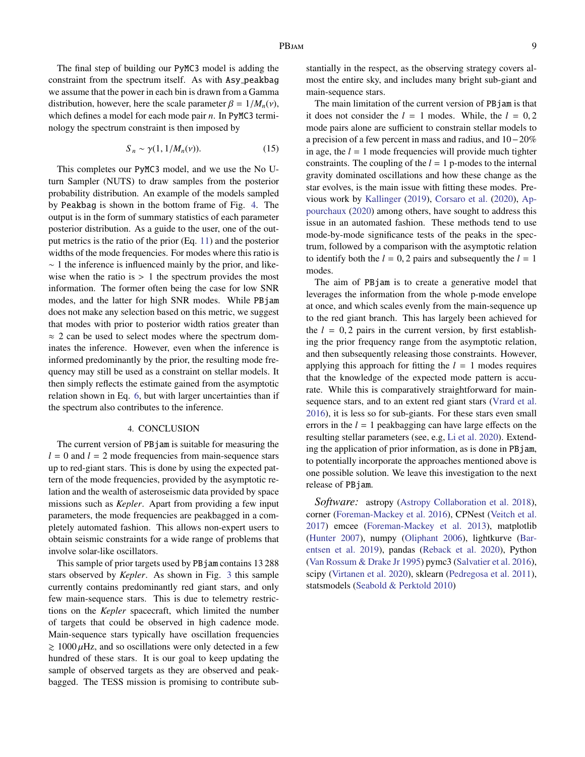The final step of building our PyMC3 model is adding the constraint from the spectrum itself. As with Asy peakbag we assume that the power in each bin is drawn from a Gamma distribution, however, here the scale parameter  $\beta = 1/M_n(v)$ , which defines a model for each mode pair *n*. In PyMC3 terminology the spectrum constraint is then imposed by

$$
S_n \sim \gamma(1, 1/M_n(\nu)). \tag{15}
$$

This completes our PyMC3 model, and we use the No Uturn Sampler (NUTS) to draw samples from the posterior probability distribution. An example of the models sampled by Peakbag is shown in the bottom frame of Fig. [4.](#page-6-0) The output is in the form of summary statistics of each parameter posterior distribution. As a guide to the user, one of the output metrics is the ratio of the prior (Eq. [11\)](#page-8-4) and the posterior widths of the mode frequencies. For modes where this ratio is  $\sim$  1 the inference is influenced mainly by the prior, and likewise when the ratio is  $> 1$  the spectrum provides the most information. The former often being the case for low SNR modes, and the latter for high SNR modes. While PBjam does not make any selection based on this metric, we suggest that modes with prior to posterior width ratios greater than ≈ 2 can be used to select modes where the spectrum dominates the inference. However, even when the inference is informed predominantly by the prior, the resulting mode frequency may still be used as a constraint on stellar models. It then simply reflects the estimate gained from the asymptotic relation shown in Eq. [6,](#page-7-2) but with larger uncertainties than if the spectrum also contributes to the inference.

#### 4. CONCLUSION

The current version of PBjam is suitable for measuring the  $l = 0$  and  $l = 2$  mode frequencies from main-sequence stars up to red-giant stars. This is done by using the expected pattern of the mode frequencies, provided by the asymptotic relation and the wealth of asteroseismic data provided by space missions such as *Kepler*. Apart from providing a few input parameters, the mode frequencies are peakbagged in a completely automated fashion. This allows non-expert users to obtain seismic constraints for a wide range of problems that involve solar-like oscillators.

This sample of prior targets used by PBjam contains 13 288 stars observed by *Kepler*. As shown in Fig. [3](#page-5-0) this sample currently contains predominantly red giant stars, and only few main-sequence stars. This is due to telemetry restrictions on the *Kepler* spacecraft, which limited the number of targets that could be observed in high cadence mode. Main-sequence stars typically have oscillation frequencies  $\geq 1000 \mu$ Hz, and so oscillations were only detected in a few hundred of these stars. It is our goal to keep updating the sample of observed targets as they are observed and peakbagged. The TESS mission is promising to contribute substantially in the respect, as the observing strategy covers almost the entire sky, and includes many bright sub-giant and main-sequence stars.

The main limitation of the current version of PBjam is that it does not consider the  $l = 1$  modes. While, the  $l = 0, 2$ mode pairs alone are sufficient to constrain stellar models to a precision of a few percent in mass and radius, and 10−20% in age, the  $l = 1$  mode frequencies will provide much tighter constraints. The coupling of the  $l = 1$  p-modes to the internal gravity dominated oscillations and how these change as the star evolves, is the main issue with fitting these modes. Previous work by [Kallinger](#page-11-42) [\(2019\)](#page-11-42), [Corsaro et al.](#page-11-43) [\(2020\)](#page-11-43), [Ap](#page-10-10)[pourchaux](#page-10-10) [\(2020\)](#page-10-10) among others, have sought to address this issue in an automated fashion. These methods tend to use mode-by-mode significance tests of the peaks in the spectrum, followed by a comparison with the asymptotic relation to identify both the  $l = 0, 2$  pairs and subsequently the  $l = 1$ modes.

The aim of PBjam is to create a generative model that leverages the information from the whole p-mode envelope at once, and which scales evenly from the main-sequence up to the red giant branch. This has largely been achieved for the  $l = 0, 2$  pairs in the current version, by first establishing the prior frequency range from the asymptotic relation, and then subsequently releasing those constraints. However, applying this approach for fitting the  $l = 1$  modes requires that the knowledge of the expected mode pattern is accurate. While this is comparatively straightforward for mainsequence stars, and to an extent red giant stars [\(Vrard et al.](#page-12-14) [2016\)](#page-12-14), it is less so for sub-giants. For these stars even small errors in the  $l = 1$  peakbagging can have large effects on the resulting stellar parameters (see, e.g, [Li et al.](#page-11-44) [2020\)](#page-11-44). Extending the application of prior information, as is done in PBjam, to potentially incorporate the approaches mentioned above is one possible solution. We leave this investigation to the next release of PBjam.

*Software:* astropy [\(Astropy Collaboration et al.](#page-10-12) [2018\)](#page-10-12), corner [\(Foreman-Mackey et al.](#page-11-45) [2016\)](#page-11-45), CPNest [\(Veitch et al.](#page-12-12) [2017\)](#page-12-12) emcee [\(Foreman-Mackey et al.](#page-11-36) [2013\)](#page-11-36), matplotlib [\(Hunter](#page-11-46) [2007\)](#page-11-46), numpy [\(Oliphant](#page-12-15) [2006\)](#page-12-15), lightkurve [\(Bar](#page-10-13)[entsen et al.](#page-10-13) [2019\)](#page-10-13), pandas [\(Reback et al.](#page-12-16) [2020\)](#page-12-16), Python [\(Van Rossum & Drake Jr](#page-12-17) [1995\)](#page-12-17) pymc3 [\(Salvatier et al.](#page-12-13) [2016\)](#page-12-13), scipy [\(Virtanen et al.](#page-12-18) [2020\)](#page-12-18), sklearn [\(Pedregosa et al.](#page-12-19) [2011\)](#page-12-19), statsmodels [\(Seabold & Perktold](#page-12-8) [2010\)](#page-12-8)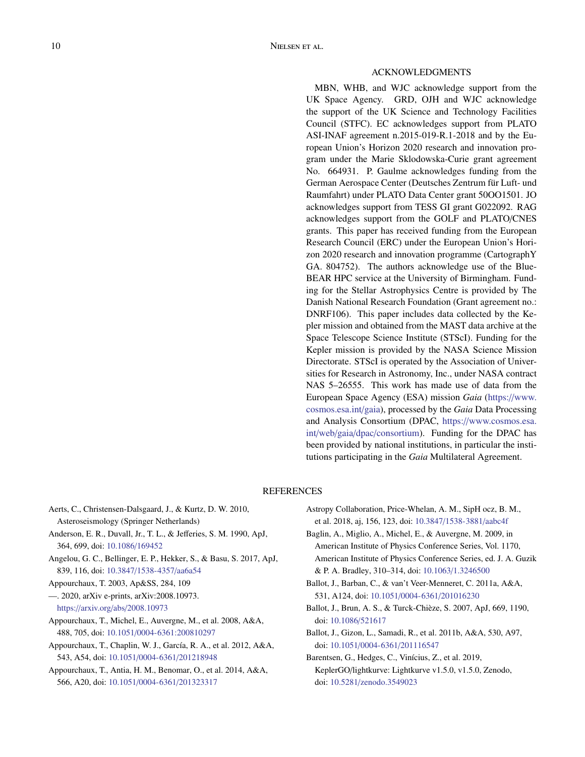# ACKNOWLEDGMENTS

MBN, WHB, and WJC acknowledge support from the UK Space Agency. GRD, OJH and WJC acknowledge the support of the UK Science and Technology Facilities Council (STFC). EC acknowledges support from PLATO ASI-INAF agreement n.2015-019-R.1-2018 and by the European Union's Horizon 2020 research and innovation program under the Marie Sklodowska-Curie grant agreement No. 664931. P. Gaulme acknowledges funding from the German Aerospace Center (Deutsches Zentrum für Luft- und Raumfahrt) under PLATO Data Center grant 50OO1501. JO acknowledges support from TESS GI grant G022092. RAG acknowledges support from the GOLF and PLATO/CNES grants. This paper has received funding from the European Research Council (ERC) under the European Union's Horizon 2020 research and innovation programme (CartographY GA. 804752). The authors acknowledge use of the Blue-BEAR HPC service at the University of Birmingham. Funding for the Stellar Astrophysics Centre is provided by The Danish National Research Foundation (Grant agreement no.: DNRF106). This paper includes data collected by the Kepler mission and obtained from the MAST data archive at the Space Telescope Science Institute (STScI). Funding for the Kepler mission is provided by the NASA Science Mission Directorate. STScI is operated by the Association of Universities for Research in Astronomy, Inc., under NASA contract NAS 5–26555. This work has made use of data from the European Space Agency (ESA) mission *Gaia* (https://[www.](https://www.cosmos.esa.int/gaia) [cosmos.esa.int](https://www.cosmos.esa.int/gaia)/gaia), processed by the *Gaia* Data Processing and Analysis Consortium (DPAC, https://[www.cosmos.esa.](https://www.cosmos.esa.int/web/gaia/dpac/consortium) int/web/gaia/dpac/[consortium\)](https://www.cosmos.esa.int/web/gaia/dpac/consortium). Funding for the DPAC has been provided by national institutions, in particular the institutions participating in the *Gaia* Multilateral Agreement.

# **REFERENCES**

- <span id="page-10-0"></span>Aerts, C., Christensen-Dalsgaard, J., & Kurtz, D. W. 2010, Asteroseismology (Springer Netherlands)
- <span id="page-10-3"></span>Anderson, E. R., Duvall, Jr., T. L., & Jefferies, S. M. 1990, ApJ, 364, 699, doi: [10.1086](http://doi.org/10.1086/169452)/169452
- <span id="page-10-4"></span>Angelou, G. C., Bellinger, E. P., Hekker, S., & Basu, S. 2017, ApJ, 839, 116, doi: 10.3847/[1538-4357](http://doi.org/10.3847/1538-4357/aa6a54)/aa6a54
- <span id="page-10-5"></span>Appourchaux, T. 2003, Ap&SS, 284, 109
- <span id="page-10-10"></span>—. 2020, arXiv e-prints, arXiv:2008.10973. https://arxiv.org/abs/[2008.10973](https://arxiv.org/abs/2008.10973)
- <span id="page-10-7"></span>Appourchaux, T., Michel, E., Auvergne, M., et al. 2008, A&A, 488, 705, doi: 10.1051/[0004-6361:200810297](http://doi.org/10.1051/0004-6361:200810297)
- <span id="page-10-1"></span>Appourchaux, T., Chaplin, W. J., García, R. A., et al. 2012, A&A, 543, A54, doi: 10.1051/0004-6361/[201218948](http://doi.org/10.1051/0004-6361/201218948)
- <span id="page-10-6"></span>Appourchaux, T., Antia, H. M., Benomar, O., et al. 2014, A&A, 566, A20, doi: 10.1051/0004-6361/[201323317](http://doi.org/10.1051/0004-6361/201323317)
- <span id="page-10-12"></span>Astropy Collaboration, Price-Whelan, A. M., SipH ocz, B. M., et al. 2018, aj, 156, 123, doi: 10.3847/[1538-3881](http://doi.org/10.3847/1538-3881/aabc4f)/aabc4f
- <span id="page-10-2"></span>Baglin, A., Miglio, A., Michel, E., & Auvergne, M. 2009, in American Institute of Physics Conference Series, Vol. 1170, American Institute of Physics Conference Series, ed. J. A. Guzik & P. A. Bradley, 310–314, doi: 10.1063/[1.3246500](http://doi.org/10.1063/1.3246500)
- <span id="page-10-11"></span>Ballot, J., Barban, C., & van't Veer-Menneret, C. 2011a, A&A, 531, A124, doi: 10.1051/0004-6361/[201016230](http://doi.org/10.1051/0004-6361/201016230)
- <span id="page-10-8"></span>Ballot, J., Brun, A. S., & Turck-Chieze, S. 2007, ApJ, 669, 1190, ` doi: [10.1086](http://doi.org/10.1086/521617)/521617
- <span id="page-10-9"></span>Ballot, J., Gizon, L., Samadi, R., et al. 2011b, A&A, 530, A97, doi: 10.1051/0004-6361/[201116547](http://doi.org/10.1051/0004-6361/201116547)
- <span id="page-10-13"></span>Barentsen, G., Hedges, C., Vinícius, Z., et al. 2019, KeplerGO/lightkurve: Lightkurve v1.5.0, v1.5.0, Zenodo, doi: 10.5281/[zenodo.3549023](http://doi.org/10.5281/zenodo.3549023)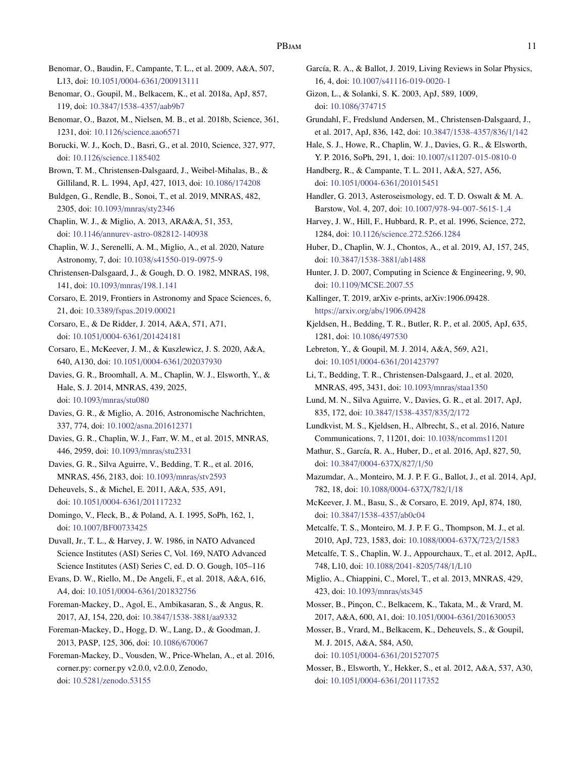- <span id="page-11-17"></span>Benomar, O., Baudin, F., Campante, T. L., et al. 2009, A&A, 507, L13, doi: 10.1051/0004-6361/[200913111](http://doi.org/10.1051/0004-6361/200913111)
- <span id="page-11-28"></span>Benomar, O., Goupil, M., Belkacem, K., et al. 2018a, ApJ, 857, 119, doi: 10.3847/[1538-4357](http://doi.org/10.3847/1538-4357/aab9b7)/aab9b7
- <span id="page-11-29"></span>Benomar, O., Bazot, M., Nielsen, M. B., et al. 2018b, Science, 361, 1231, doi: 10.1126/[science.aao6571](http://doi.org/10.1126/science.aao6571)
- <span id="page-11-10"></span>Borucki, W. J., Koch, D., Basri, G., et al. 2010, Science, 327, 977, doi: 10.1126/[science.1185402](http://doi.org/10.1126/science.1185402)
- <span id="page-11-13"></span>Brown, T. M., Christensen-Dalsgaard, J., Weibel-Mihalas, B., & Gilliland, R. L. 1994, ApJ, 427, 1013, doi: [10.1086](http://doi.org/10.1086/174208)/174208
- <span id="page-11-34"></span>Buldgen, G., Rendle, B., Sonoi, T., et al. 2019, MNRAS, 482, 2305, doi: [10.1093](http://doi.org/10.1093/mnras/sty2346)/mnras/sty2346
- <span id="page-11-0"></span>Chaplin, W. J., & Miglio, A. 2013, ARA&A, 51, 353, doi: 10.1146/[annurev-astro-082812-140938](http://doi.org/10.1146/annurev-astro-082812-140938)
- <span id="page-11-22"></span>Chaplin, W. J., Serenelli, A. M., Miglio, A., et al. 2020, Nature Astronomy, 7, doi: 10.1038/[s41550-019-0975-9](http://doi.org/10.1038/s41550-019-0975-9)
- <span id="page-11-23"></span>Christensen-Dalsgaard, J., & Gough, D. O. 1982, MNRAS, 198, 141, doi: 10.1093/mnras/[198.1.141](http://doi.org/10.1093/mnras/198.1.141)
- <span id="page-11-26"></span>Corsaro, E. 2019, Frontiers in Astronomy and Space Sciences, 6, 21, doi: 10.3389/[fspas.2019.00021](http://doi.org/10.3389/fspas.2019.00021)
- <span id="page-11-15"></span>Corsaro, E., & De Ridder, J. 2014, A&A, 571, A71, doi: 10.1051/0004-6361/[201424181](http://doi.org/10.1051/0004-6361/201424181)
- <span id="page-11-43"></span>Corsaro, E., McKeever, J. M., & Kuszlewicz, J. S. 2020, A&A, 640, A130, doi: 10.1051/0004-6361/[202037930](http://doi.org/10.1051/0004-6361/202037930)
- <span id="page-11-14"></span>Davies, G. R., Broomhall, A. M., Chaplin, W. J., Elsworth, Y., & Hale, S. J. 2014, MNRAS, 439, 2025, doi: [10.1093](http://doi.org/10.1093/mnras/stu080)/mnras/stu080

<span id="page-11-32"></span>Davies, G. R., & Miglio, A. 2016, Astronomische Nachrichten, 337, 774, doi: 10.1002/[asna.201612371](http://doi.org/10.1002/asna.201612371)

- <span id="page-11-27"></span>Davies, G. R., Chaplin, W. J., Farr, W. M., et al. 2015, MNRAS, 446, 2959, doi: [10.1093](http://doi.org/10.1093/mnras/stu2331)/mnras/stu2331
- <span id="page-11-1"></span>Davies, G. R., Silva Aguirre, V., Bedding, T. R., et al. 2016, MNRAS, 456, 2183, doi: [10.1093](http://doi.org/10.1093/mnras/stv2593)/mnras/stv2593
- <span id="page-11-31"></span>Deheuvels, S., & Michel, E. 2011, A&A, 535, A91, doi: 10.1051/0004-6361/[201117232](http://doi.org/10.1051/0004-6361/201117232)

<span id="page-11-9"></span>Domingo, V., Fleck, B., & Poland, A. I. 1995, SoPh, 162, 1, doi: 10.1007/[BF00733425](http://doi.org/10.1007/BF00733425)

<span id="page-11-41"></span>Duvall, Jr., T. L., & Harvey, J. W. 1986, in NATO Advanced Science Institutes (ASI) Series C, Vol. 169, NATO Advanced Science Institutes (ASI) Series C, ed. D. O. Gough, 105–116

- <span id="page-11-35"></span>Evans, D. W., Riello, M., De Angeli, F., et al. 2018, A&A, 616, A4, doi: 10.1051/0004-6361/[201832756](http://doi.org/10.1051/0004-6361/201832756)
- <span id="page-11-11"></span>Foreman-Mackey, D., Agol, E., Ambikasaran, S., & Angus, R. 2017, AJ, 154, 220, doi: 10.3847/[1538-3881](http://doi.org/10.3847/1538-3881/aa9332)/aa9332
- <span id="page-11-36"></span>Foreman-Mackey, D., Hogg, D. W., Lang, D., & Goodman, J. 2013, PASP, 125, 306, doi: [10.1086](http://doi.org/10.1086/670067)/670067

<span id="page-11-45"></span>Foreman-Mackey, D., Vousden, W., Price-Whelan, A., et al. 2016, corner.py: corner.py v2.0.0, v2.0.0, Zenodo, doi: 10.5281/[zenodo.53155](http://doi.org/10.5281/zenodo.53155)

<span id="page-11-12"></span>García, R. A., & Ballot, J. 2019, Living Reviews in Solar Physics, 16, 4, doi: 10.1007/[s41116-019-0020-1](http://doi.org/10.1007/s41116-019-0020-1)

<span id="page-11-24"></span>Gizon, L., & Solanki, S. K. 2003, ApJ, 589, 1009, doi: [10.1086](http://doi.org/10.1086/374715)/374715

<span id="page-11-8"></span>Grundahl, F., Fredslund Andersen, M., Christensen-Dalsgaard, J., et al. 2017, ApJ, 836, 142, doi: 10.3847/[1538-4357](http://doi.org/10.3847/1538-4357/836/1/142)/836/1/142

<span id="page-11-7"></span>Hale, S. J., Howe, R., Chaplin, W. J., Davies, G. R., & Elsworth, Y. P. 2016, SoPh, 291, 1, doi: 10.1007/[s11207-015-0810-0](http://doi.org/10.1007/s11207-015-0810-0)

<span id="page-11-25"></span>Handberg, R., & Campante, T. L. 2011, A&A, 527, A56, doi: 10.1051/0004-6361/[201015451](http://doi.org/10.1051/0004-6361/201015451)

- <span id="page-11-5"></span>Handler, G. 2013, Asteroseismology, ed. T. D. Oswalt & M. A. Barstow, Vol. 4, 207, doi: 10.1007/[978-94-007-5615-1](http://doi.org/10.1007/978-94-007-5615-1_4) 4
- <span id="page-11-6"></span>Harvey, J. W., Hill, F., Hubbard, R. P., et al. 1996, Science, 272, 1284, doi: 10.1126/[science.272.5266.1284](http://doi.org/10.1126/science.272.5266.1284)
- <span id="page-11-19"></span>Huber, D., Chaplin, W. J., Chontos, A., et al. 2019, AJ, 157, 245, doi: 10.3847/[1538-3881](http://doi.org/10.3847/1538-3881/ab1488)/ab1488
- <span id="page-11-46"></span>Hunter, J. D. 2007, Computing in Science & Engineering, 9, 90, doi: 10.1109/[MCSE.2007.55](http://doi.org/10.1109/MCSE.2007.55)
- <span id="page-11-42"></span>Kallinger, T. 2019, arXiv e-prints, arXiv:1906.09428. https://arxiv.org/abs/[1906.09428](https://arxiv.org/abs/1906.09428)
- <span id="page-11-40"></span>Kjeldsen, H., Bedding, T. R., Butler, R. P., et al. 2005, ApJ, 635, 1281, doi: [10.1086](http://doi.org/10.1086/497530)/497530
- <span id="page-11-4"></span>Lebreton, Y., & Goupil, M. J. 2014, A&A, 569, A21, doi: 10.1051/0004-6361/[201423797](http://doi.org/10.1051/0004-6361/201423797)
- <span id="page-11-44"></span>Li, T., Bedding, T. R., Christensen-Dalsgaard, J., et al. 2020, MNRAS, 495, 3431, doi: 10.1093/mnras/[staa1350](http://doi.org/10.1093/mnras/staa1350)
- <span id="page-11-2"></span>Lund, M. N., Silva Aguirre, V., Davies, G. R., et al. 2017, ApJ, 835, 172, doi: 10.3847/[1538-4357](http://doi.org/10.3847/1538-4357/835/2/172)/835/2/172
- <span id="page-11-18"></span>Lundkvist, M. S., Kjeldsen, H., Albrecht, S., et al. 2016, Nature Communications, 7, 11201, doi: 10.1038/[ncomms11201](http://doi.org/10.1038/ncomms11201)
- <span id="page-11-21"></span>Mathur, S., García, R. A., Huber, D., et al. 2016, ApJ, 827, 50, doi: 10.3847/[0004-637X](http://doi.org/10.3847/0004-637X/827/1/50)/827/1/50
- <span id="page-11-38"></span>Mazumdar, A., Monteiro, M. J. P. F. G., Ballot, J., et al. 2014, ApJ, 782, 18, doi: 10.1088/[0004-637X](http://doi.org/10.1088/0004-637X/782/1/18)/782/1/18
- <span id="page-11-33"></span>McKeever, J. M., Basu, S., & Corsaro, E. 2019, ApJ, 874, 180, doi: 10.3847/[1538-4357](http://doi.org/10.3847/1538-4357/ab0c04)/ab0c04
- <span id="page-11-30"></span>Metcalfe, T. S., Monteiro, M. J. P. F. G., Thompson, M. J., et al. 2010, ApJ, 723, 1583, doi: 10.1088/[0004-637X](http://doi.org/10.1088/0004-637X/723/2/1583)/723/2/1583
- <span id="page-11-3"></span>Metcalfe, T. S., Chaplin, W. J., Appourchaux, T., et al. 2012, ApJL, 748, L10, doi: 10.1088/[2041-8205](http://doi.org/10.1088/2041-8205/748/1/L10)/748/1/L10
- <span id="page-11-20"></span>Miglio, A., Chiappini, C., Morel, T., et al. 2013, MNRAS, 429, 423, doi: [10.1093](http://doi.org/10.1093/mnras/sts345)/mnras/sts345
- <span id="page-11-39"></span>Mosser, B., Pinçon, C., Belkacem, K., Takata, M., & Vrard, M. 2017, A&A, 600, A1, doi: 10.1051/0004-6361/[201630053](http://doi.org/10.1051/0004-6361/201630053)
- <span id="page-11-37"></span>Mosser, B., Vrard, M., Belkacem, K., Deheuvels, S., & Goupil, M. J. 2015, A&A, 584, A50,

doi: 10.1051/0004-6361/[201527075](http://doi.org/10.1051/0004-6361/201527075)

<span id="page-11-16"></span>Mosser, B., Elsworth, Y., Hekker, S., et al. 2012, A&A, 537, A30, doi: 10.1051/0004-6361/[201117352](http://doi.org/10.1051/0004-6361/201117352)